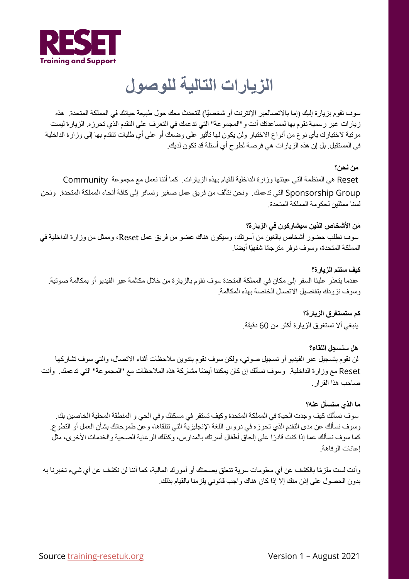

# **الزیارات التالیة للوصول**

سوف نقوم بزيارة إليك (إما بالاتصالعبر الإنترنت أو شخصيًا) للتحدث معك حول طبيعة حياتك في المملكة المتحدة. هذه زیارات غیر رسمیة نقوم بھا لمساعدتك أنت و"المجموعة" التي تدعمك في التعرف على التقدم الذي تحرزه. الزیارة لیست مرتبة لاختبارك بأي نوع من أنواع الاختبار ولن یكون لھا تأثیر على وضعك أو على أي طلبات تتقدم بھا إلى وزارة الداخلیة في المستقبل. بل إن ھذه الزیارات ھي فرصة لطرح أي أسئلة قد تكون لدیك.

#### **من نحن؟**

Reset ھي المنظمة التي عینتھا وزارة الداخلیة للقیام بھذه الزیارات. كما أننا نعمل مع مجموعة Community Group Sponsorship التي تدعمك. ونحن نتألف من فریق عمل صغیر ونسافر إلى كافة أنحاء المملكة المتحدة. ونحن لسنا ممثلین لحكومة المملكة المتحدة.

#### **َمن الأشخاص الذین سیشاركون في الزیارة؟**

سوف نطلب حضور أشخاص بالغین من أسرتك، وسیكون ھناك عضو من فریق عمل Reset، وممثل من وزارة الداخلیة في المملكة المتحدة، وسوف نوفر مترجمًا شفهيًا أيضًا.

#### **كیف ستتم الزیارة؟**

عندما یتعذر علینا السفر إلى مكان في المملكة المتحدة سوف نقوم بالزیارة من خلال مكالمة عبر الفیدیو أو بمكالمة صوتیة. وسوف نزودك بتفاصیل الاتصال الخاصة بھذه المكالمة.

> **كم ستستغرق الزیارة؟**  ینبغي ألا تستغرق الزیارة أكثر من 60 دقیقة.

**ھل سنسجل اللقاء؟**  لن نقوم بتسجیل عبر الفیدیو أو تسجیل صوتي، ولكن سوف نقوم بتدوین ملاحظات أثناء الاتصال، والتي سوف تشاركھا Reset ً مع وزارة الداخلیة. وسوف نسألك إن كان یمكننا أیضا مشاركة ھذه الملاحظات مع "المجموعة" التي تدعمك. وأنت صاحب ھذا القرار.

#### **ما الذي سنسأل عنھ؟**

سوف نسألك كیف وجدت الحیاة في المملكة المتحدة وكیف تستقر في مسكنك وفي الحي و المنطقة المحلیة الخاصین بك. وسوف نسألك عن مدى التقدم الذي تحرزه في دروس اللغة الإنجلیزیة التي تتلقاھا، وعن طموحاتك بشأن العمل أو التطوع. ً كما سوف نسألك عما إذا كنت قادرا على إلحاق أطفال أسرتك بالمدارس، وكذلك الرعایة الصحیة والخدمات الأخرى، مثل إعانات الرفاھة.

ً وأنت لست ملزما بالكشف عن أي معلومات سریة تتعلق بصحتك أو أمورك المالیة، كما أننا لن نكشف عن أي شيء تخبرنا بھ بدون الحصول على إذن منك إلا إذا كان ھناك واجب قانوني یلزمنا بالقیام بذلك.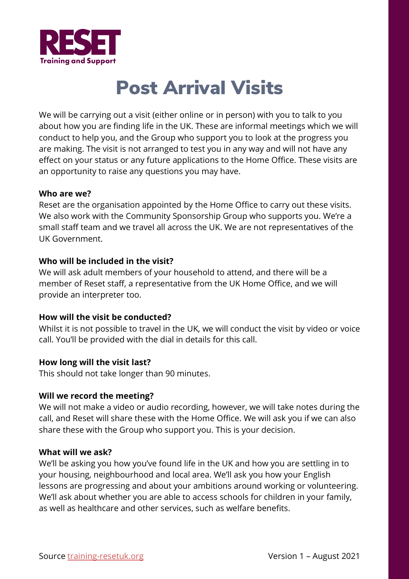

# Post Arrival Visits

We will be carrying out a visit (either online or in person) with you to talk to you about how you are finding life in the UK. These are informal meetings which we will conduct to help you, and the Group who support you to look at the progress you are making. The visit is not arranged to test you in any way and will not have any effect on your status or any future applications to the Home Office. These visits are an opportunity to raise any questions you may have.

### **Who are we?**

Reset are the organisation appointed by the Home Office to carry out these visits. We also work with the Community Sponsorship Group who supports you. We're a small staff team and we travel all across the UK. We are not representatives of the UK Government.

## **Who will be included in the visit?**

We will ask adult members of your household to attend, and there will be a member of Reset staff, a representative from the UK Home Office, and we will provide an interpreter too.

## **How will the visit be conducted?**

Whilst it is not possible to travel in the UK, we will conduct the visit by video or voice call. You'll be provided with the dial in details for this call.

#### **How long will the visit last?**

This should not take longer than 90 minutes.

#### **Will we record the meeting?**

We will not make a video or audio recording, however, we will take notes during the call, and Reset will share these with the Home Office. We will ask you if we can also share these with the Group who support you. This is your decision.

#### **What will we ask?**

We'll be asking you how you've found life in the UK and how you are settling in to your housing, neighbourhood and local area. We'll ask you how your English lessons are progressing and about your ambitions around working or volunteering. We'll ask about whether you are able to access schools for children in your family, as well as healthcare and other services, such as welfare benefits.